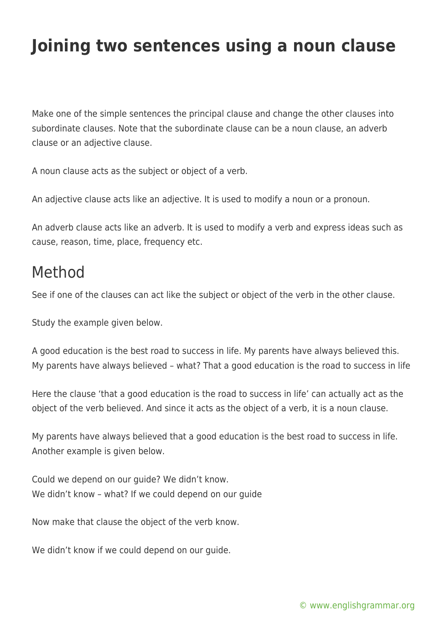## **Joining two sentences using a noun clause**

Make one of the simple sentences the principal clause and change the other clauses into subordinate clauses. Note that the subordinate clause can be a noun clause, an adverb clause or an adjective clause.

A noun clause acts as the subject or object of a verb.

An adjective clause acts like an adjective. It is used to modify a noun or a pronoun.

An adverb clause acts like an adverb. It is used to modify a verb and express ideas such as cause, reason, time, place, frequency etc.

## Method

See if one of the clauses can act like the subject or object of the verb in the other clause.

Study the example given below.

A good education is the best road to success in life. My parents have always believed this. My parents have always believed – what? That a good education is the road to success in life

Here the clause 'that a good education is the road to success in life' can actually act as the object of the verb believed. And since it acts as the object of a verb, it is a noun clause.

My parents have always believed that a good education is the best road to success in life. Another example is given below.

Could we depend on our guide? We didn't know. We didn't know – what? If we could depend on our guide

Now make that clause the object of the verb know.

We didn't know if we could depend on our guide.